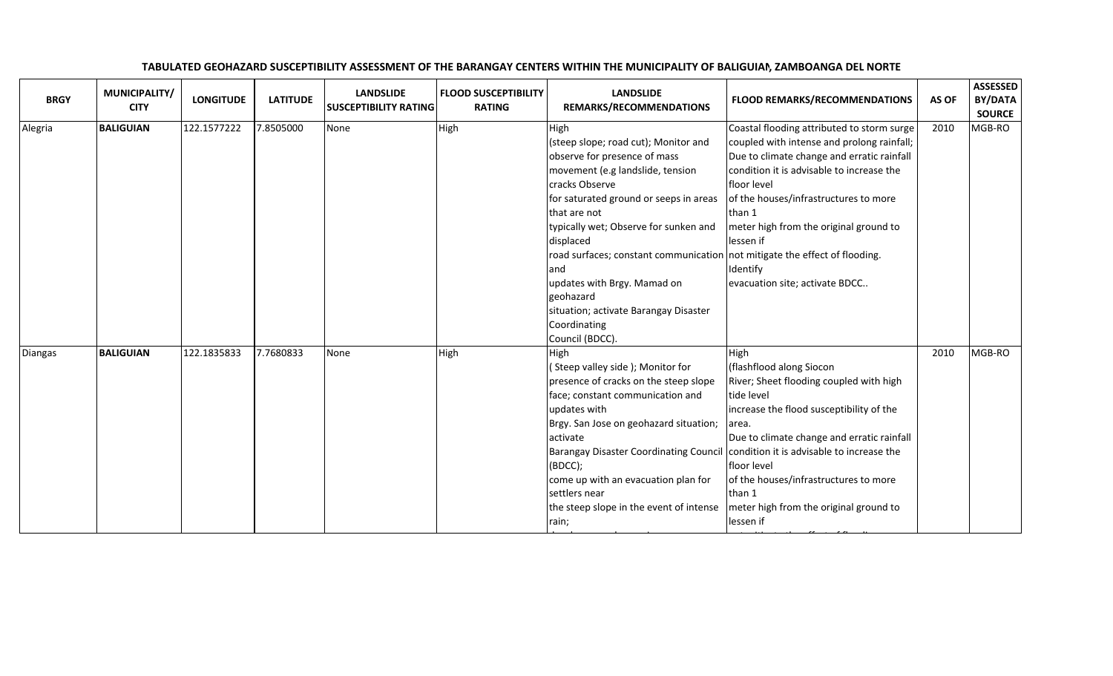| <b>BRGY</b> | MUNICIPALITY/<br><b>CITY</b> | <b>LONGITUDE</b> | <b>LATITUDE</b> | <b>LANDSLIDE</b><br><b>SUSCEPTIBILITY RATING</b> | <b>FLOOD SUSCEPTIBILITY</b><br><b>RATING</b> | <b>LANDSLIDE</b><br>REMARKS/RECOMMENDATIONS                                | <b>FLOOD REMARKS/RECOMMENDATIONS</b>       | AS OF | <b>ASSESSED</b><br>BY/DATA<br><b>SOURCE</b> |
|-------------|------------------------------|------------------|-----------------|--------------------------------------------------|----------------------------------------------|----------------------------------------------------------------------------|--------------------------------------------|-------|---------------------------------------------|
| Alegria     | <b>BALIGUIAN</b>             | 122.1577222      | 7.8505000       | None                                             | High                                         | High                                                                       | Coastal flooding attributed to storm surge | 2010  | MGB-RO                                      |
|             |                              |                  |                 |                                                  |                                              | (steep slope; road cut); Monitor and                                       | coupled with intense and prolong rainfall; |       |                                             |
|             |                              |                  |                 |                                                  |                                              | observe for presence of mass                                               | Due to climate change and erratic rainfall |       |                                             |
|             |                              |                  |                 |                                                  |                                              | movement (e.g landslide, tension                                           | condition it is advisable to increase the  |       |                                             |
|             |                              |                  |                 |                                                  |                                              | cracks Observe                                                             | floor level                                |       |                                             |
|             |                              |                  |                 |                                                  |                                              | for saturated ground or seeps in areas                                     | of the houses/infrastructures to more      |       |                                             |
|             |                              |                  |                 |                                                  |                                              | that are not                                                               | than 1                                     |       |                                             |
|             |                              |                  |                 |                                                  |                                              | typically wet; Observe for sunken and                                      | meter high from the original ground to     |       |                                             |
|             |                              |                  |                 |                                                  |                                              | displaced                                                                  | lessen if                                  |       |                                             |
|             |                              |                  |                 |                                                  |                                              | road surfaces; constant communication not mitigate the effect of flooding. |                                            |       |                                             |
|             |                              |                  |                 |                                                  |                                              | land                                                                       | Identify                                   |       |                                             |
|             |                              |                  |                 |                                                  |                                              | updates with Brgy. Mamad on                                                | evacuation site; activate BDCC             |       |                                             |
|             |                              |                  |                 |                                                  |                                              | geohazard                                                                  |                                            |       |                                             |
|             |                              |                  |                 |                                                  |                                              | situation; activate Barangay Disaster                                      |                                            |       |                                             |
|             |                              |                  |                 |                                                  |                                              | Coordinating                                                               |                                            |       |                                             |
|             |                              |                  |                 |                                                  |                                              | Council (BDCC).                                                            |                                            |       |                                             |
| Diangas     | <b>BALIGUIAN</b>             | 122.1835833      | 7.7680833       | None                                             | High                                         | High                                                                       | High                                       | 2010  | MGB-RO                                      |
|             |                              |                  |                 |                                                  |                                              | (Steep valley side); Monitor for                                           | (flashflood along Siocon                   |       |                                             |
|             |                              |                  |                 |                                                  |                                              | presence of cracks on the steep slope                                      | River; Sheet flooding coupled with high    |       |                                             |
|             |                              |                  |                 |                                                  |                                              | face; constant communication and                                           | tide level                                 |       |                                             |
|             |                              |                  |                 |                                                  |                                              | updates with                                                               | increase the flood susceptibility of the   |       |                                             |
|             |                              |                  |                 |                                                  |                                              | Brgy. San Jose on geohazard situation;                                     | area.                                      |       |                                             |
|             |                              |                  |                 |                                                  |                                              | lactivate                                                                  | Due to climate change and erratic rainfall |       |                                             |
|             |                              |                  |                 |                                                  |                                              | <b>Barangay Disaster Coordinating Council</b>                              | condition it is advisable to increase the  |       |                                             |
|             |                              |                  |                 |                                                  |                                              | (BOCC);                                                                    | floor level                                |       |                                             |
|             |                              |                  |                 |                                                  |                                              | come up with an evacuation plan for                                        | of the houses/infrastructures to more      |       |                                             |
|             |                              |                  |                 |                                                  |                                              | settlers near                                                              | than 1                                     |       |                                             |
|             |                              |                  |                 |                                                  |                                              | the steep slope in the event of intense                                    | meter high from the original ground to     |       |                                             |
|             |                              |                  |                 |                                                  |                                              | rain;                                                                      | lessen if                                  |       |                                             |

develop an early warning warning warning and the contract of the contract of the contract of the contract of the contract of the contract of the contract of the contract of the contract of the contract of the contract of t

not mitigate the effect of flooding.

## TABULATED GEOHAZARD SUSCEPTIBILITY ASSESSMENT OF THE BARANGAY CENTERS WITHIN THE MUNICIPALITY OF BALIGUIAN, ZAMBOANGA DEL NORTE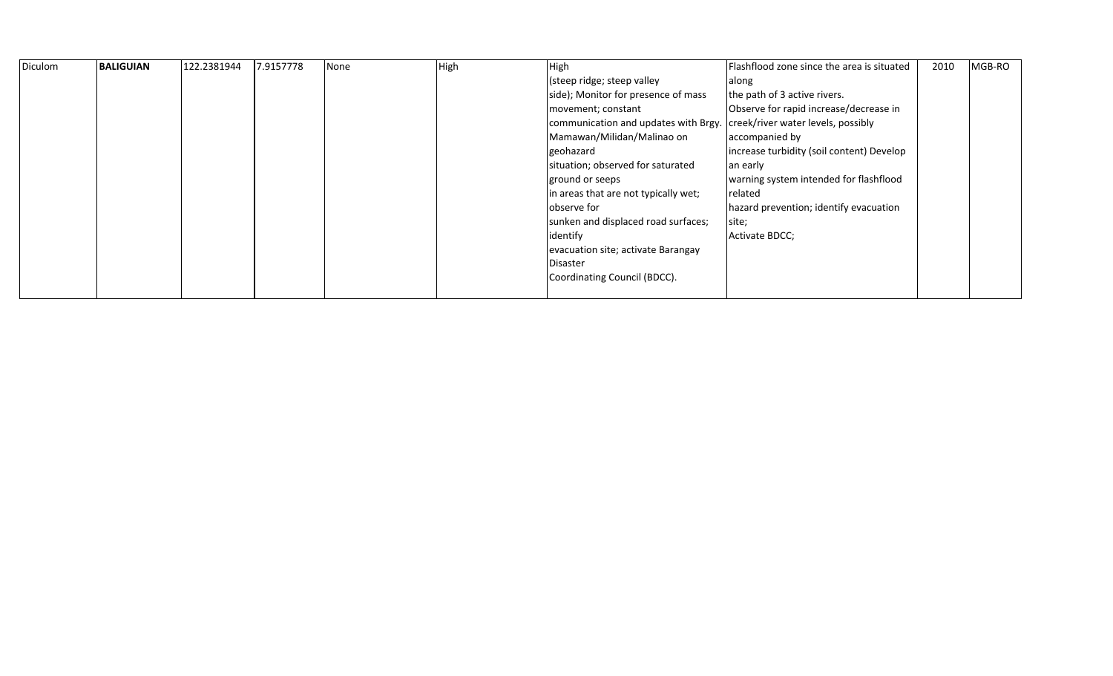| Diculom | <b>BALIGUIAN</b> | 122.2381944 | 7.9157778 | None | High | High                                                                    | Flashflood zone since the area is situated | 2010 | MGB-RO |
|---------|------------------|-------------|-----------|------|------|-------------------------------------------------------------------------|--------------------------------------------|------|--------|
|         |                  |             |           |      |      | (steep ridge; steep valley                                              | along                                      |      |        |
|         |                  |             |           |      |      | side); Monitor for presence of mass                                     | the path of 3 active rivers.               |      |        |
|         |                  |             |           |      |      | movement; constant                                                      | Observe for rapid increase/decrease in     |      |        |
|         |                  |             |           |      |      | communication and updates with Brgy. creek/river water levels, possibly |                                            |      |        |
|         |                  |             |           |      |      | Mamawan/Milidan/Malinao on                                              | accompanied by                             |      |        |
|         |                  |             |           |      |      | geohazard                                                               | increase turbidity (soil content) Develop  |      |        |
|         |                  |             |           |      |      | situation; observed for saturated                                       | an early                                   |      |        |
|         |                  |             |           |      |      | ground or seeps                                                         | warning system intended for flashflood     |      |        |
|         |                  |             |           |      |      | in areas that are not typically wet;                                    | related                                    |      |        |
|         |                  |             |           |      |      | observe for                                                             | hazard prevention; identify evacuation     |      |        |
|         |                  |             |           |      |      | sunken and displaced road surfaces;                                     | site;                                      |      |        |
|         |                  |             |           |      |      | identify                                                                | Activate BDCC;                             |      |        |
|         |                  |             |           |      |      | evacuation site; activate Barangay                                      |                                            |      |        |
|         |                  |             |           |      |      | Disaster                                                                |                                            |      |        |
|         |                  |             |           |      |      | Coordinating Council (BDCC).                                            |                                            |      |        |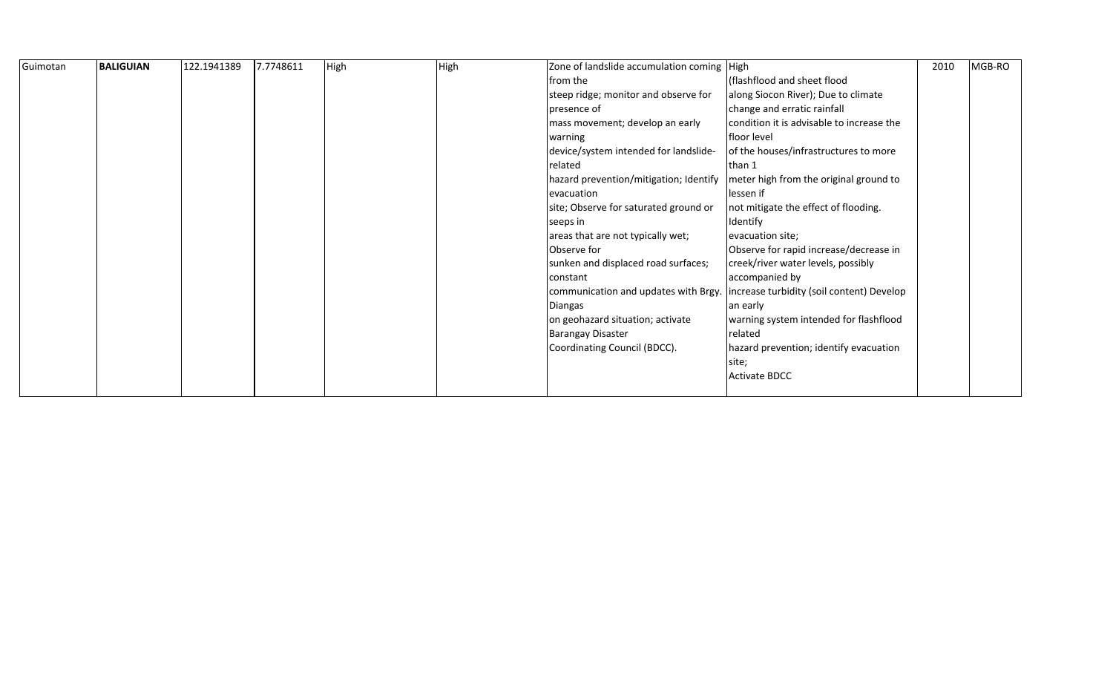| Guimotan | <b>BALIGUIAN</b> | 122.1941389 | 7.7748611 | High | High | Zone of landslide accumulation coming   High |                                           | 2010 | MGB-RO |
|----------|------------------|-------------|-----------|------|------|----------------------------------------------|-------------------------------------------|------|--------|
|          |                  |             |           |      |      | from the                                     | (flashflood and sheet flood               |      |        |
|          |                  |             |           |      |      | steep ridge; monitor and observe for         | along Siocon River); Due to climate       |      |        |
|          |                  |             |           |      |      | presence of                                  | change and erratic rainfall               |      |        |
|          |                  |             |           |      |      | mass movement; develop an early              | condition it is advisable to increase the |      |        |
|          |                  |             |           |      |      | warning                                      | floor level                               |      |        |
|          |                  |             |           |      |      | device/system intended for landslide-        | of the houses/infrastructures to more     |      |        |
|          |                  |             |           |      |      | related                                      | than 1                                    |      |        |
|          |                  |             |           |      |      | hazard prevention/mitigation; Identify       | meter high from the original ground to    |      |        |
|          |                  |             |           |      |      | evacuation                                   | lessen if                                 |      |        |
|          |                  |             |           |      |      | site; Observe for saturated ground or        | not mitigate the effect of flooding.      |      |        |
|          |                  |             |           |      |      | seeps in                                     | Identify                                  |      |        |
|          |                  |             |           |      |      | areas that are not typically wet;            | evacuation site;                          |      |        |
|          |                  |             |           |      |      | Observe for                                  | Observe for rapid increase/decrease in    |      |        |
|          |                  |             |           |      |      | sunken and displaced road surfaces;          | creek/river water levels, possibly        |      |        |
|          |                  |             |           |      |      | constant                                     | accompanied by                            |      |        |
|          |                  |             |           |      |      | communication and updates with Brgy.         | increase turbidity (soil content) Develop |      |        |
|          |                  |             |           |      |      | <b>Diangas</b>                               | an early                                  |      |        |
|          |                  |             |           |      |      | on geohazard situation; activate             | warning system intended for flashflood    |      |        |
|          |                  |             |           |      |      | <b>Barangay Disaster</b>                     | related                                   |      |        |
|          |                  |             |           |      |      | Coordinating Council (BDCC).                 | hazard prevention; identify evacuation    |      |        |
|          |                  |             |           |      |      |                                              | site;                                     |      |        |
|          |                  |             |           |      |      |                                              | <b>Activate BDCC</b>                      |      |        |
|          |                  |             |           |      |      |                                              |                                           |      |        |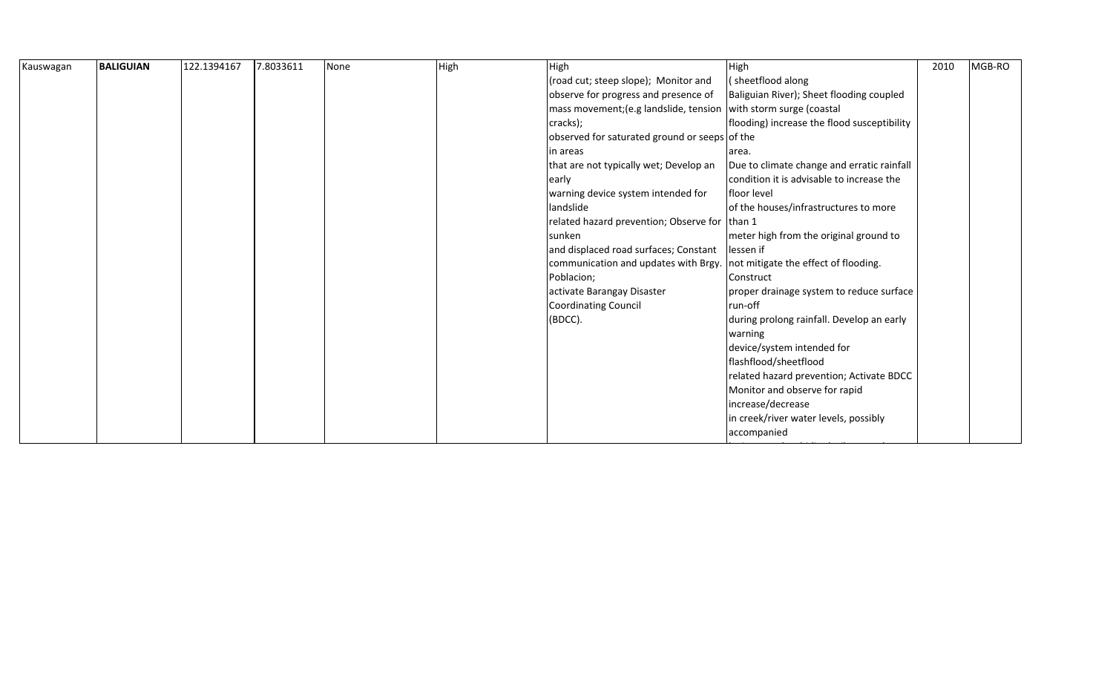| Kauswagan | <b>BALIGUIAN</b> | 122.1394167 | 7.8033611 | None | High | High                                          | High                                        | 2010 | MGB-RO |
|-----------|------------------|-------------|-----------|------|------|-----------------------------------------------|---------------------------------------------|------|--------|
|           |                  |             |           |      |      | (road cut; steep slope); Monitor and          | (sheetflood along                           |      |        |
|           |                  |             |           |      |      | observe for progress and presence of          | Baliguian River); Sheet flooding coupled    |      |        |
|           |                  |             |           |      |      | mass movement; (e.g landslide, tension        | with storm surge (coastal                   |      |        |
|           |                  |             |           |      |      | cracks);                                      | flooding) increase the flood susceptibility |      |        |
|           |                  |             |           |      |      | observed for saturated ground or seeps of the |                                             |      |        |
|           |                  |             |           |      |      | in areas                                      | area.                                       |      |        |
|           |                  |             |           |      |      | that are not typically wet; Develop an        | Due to climate change and erratic rainfall  |      |        |
|           |                  |             |           |      |      | early                                         | condition it is advisable to increase the   |      |        |
|           |                  |             |           |      |      | warning device system intended for            | floor level                                 |      |        |
|           |                  |             |           |      |      | landslide                                     | of the houses/infrastructures to more       |      |        |
|           |                  |             |           |      |      | related hazard prevention; Observe for        | than 1                                      |      |        |
|           |                  |             |           |      |      | sunken                                        | meter high from the original ground to      |      |        |
|           |                  |             |           |      |      | and displaced road surfaces; Constant         | lessen if                                   |      |        |
|           |                  |             |           |      |      | communication and updates with Brgy.          | not mitigate the effect of flooding.        |      |        |
|           |                  |             |           |      |      | Poblacion;                                    | Construct                                   |      |        |
|           |                  |             |           |      |      | activate Barangay Disaster                    | proper drainage system to reduce surface    |      |        |
|           |                  |             |           |      |      | Coordinating Council                          | run-off                                     |      |        |
|           |                  |             |           |      |      | (BDCC).                                       | during prolong rainfall. Develop an early   |      |        |
|           |                  |             |           |      |      |                                               | warning                                     |      |        |
|           |                  |             |           |      |      |                                               | device/system intended for                  |      |        |
|           |                  |             |           |      |      |                                               | flashflood/sheetflood                       |      |        |
|           |                  |             |           |      |      |                                               | related hazard prevention; Activate BDCC    |      |        |
|           |                  |             |           |      |      |                                               | Monitor and observe for rapid               |      |        |
|           |                  |             |           |      |      |                                               | increase/decrease                           |      |        |
|           |                  |             |           |      |      |                                               | in creek/river water levels, possibly       |      |        |
|           |                  |             |           |      |      |                                               | accompanied                                 |      |        |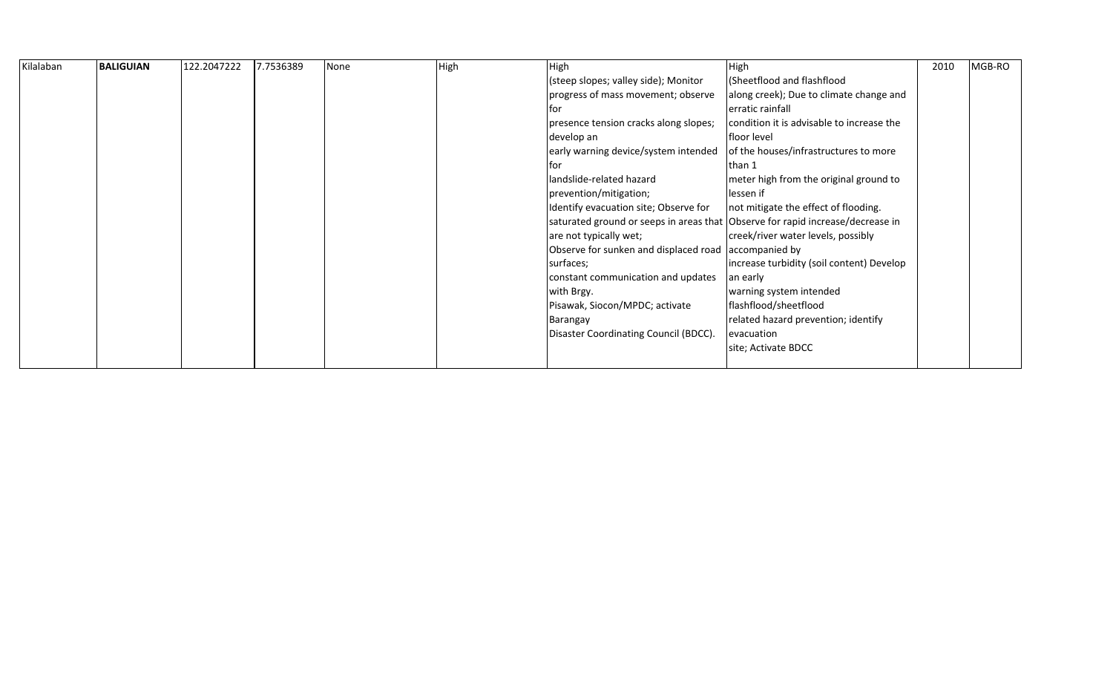| Kilalaban | <b>BALIGUIAN</b> | 122.2047222 | 7.7536389 | None | High | High                                                                           | High                                      | 2010 | MGB-RO |
|-----------|------------------|-------------|-----------|------|------|--------------------------------------------------------------------------------|-------------------------------------------|------|--------|
|           |                  |             |           |      |      | (steep slopes; valley side); Monitor                                           | (Sheetflood and flashflood                |      |        |
|           |                  |             |           |      |      | progress of mass movement; observe                                             | along creek); Due to climate change and   |      |        |
|           |                  |             |           |      |      | for                                                                            | erratic rainfall                          |      |        |
|           |                  |             |           |      |      | presence tension cracks along slopes;                                          | condition it is advisable to increase the |      |        |
|           |                  |             |           |      |      | develop an                                                                     | floor level                               |      |        |
|           |                  |             |           |      |      | early warning device/system intended                                           | of the houses/infrastructures to more     |      |        |
|           |                  |             |           |      |      | tor                                                                            | than 1                                    |      |        |
|           |                  |             |           |      |      | landslide-related hazard                                                       | meter high from the original ground to    |      |        |
|           |                  |             |           |      |      | prevention/mitigation;                                                         | lessen if                                 |      |        |
|           |                  |             |           |      |      | Identify evacuation site; Observe for                                          | not mitigate the effect of flooding.      |      |        |
|           |                  |             |           |      |      | saturated ground or seeps in areas that Observe for rapid increase/decrease in |                                           |      |        |
|           |                  |             |           |      |      | are not typically wet;                                                         | creek/river water levels, possibly        |      |        |
|           |                  |             |           |      |      | Observe for sunken and displaced road accompanied by                           |                                           |      |        |
|           |                  |             |           |      |      | surfaces;                                                                      | increase turbidity (soil content) Develop |      |        |
|           |                  |             |           |      |      | constant communication and updates                                             | an early                                  |      |        |
|           |                  |             |           |      |      | with Brgy.                                                                     | warning system intended                   |      |        |
|           |                  |             |           |      |      | Pisawak, Siocon/MPDC; activate                                                 | flashflood/sheetflood                     |      |        |
|           |                  |             |           |      |      | Barangay                                                                       | related hazard prevention; identify       |      |        |
|           |                  |             |           |      |      | Disaster Coordinating Council (BDCC).                                          | evacuation                                |      |        |
|           |                  |             |           |      |      |                                                                                | site; Activate BDCC                       |      |        |
|           |                  |             |           |      |      |                                                                                |                                           |      |        |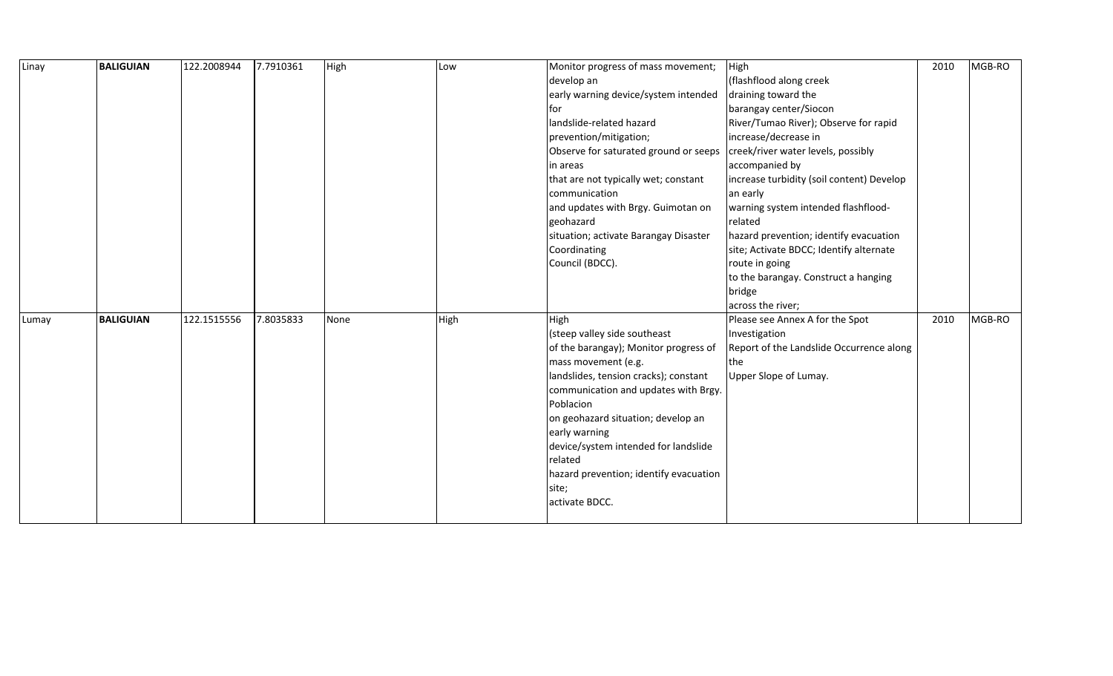| Linay | <b>BALIGUIAN</b> | 122.2008944 | 7.7910361 | High | Low  | Monitor progress of mass movement;     | High                                      | 2010 | MGB-RO |
|-------|------------------|-------------|-----------|------|------|----------------------------------------|-------------------------------------------|------|--------|
|       |                  |             |           |      |      | develop an                             | (flashflood along creek                   |      |        |
|       |                  |             |           |      |      | early warning device/system intended   | draining toward the                       |      |        |
|       |                  |             |           |      |      | tor                                    | barangay center/Siocon                    |      |        |
|       |                  |             |           |      |      | landslide-related hazard               | River/Tumao River); Observe for rapid     |      |        |
|       |                  |             |           |      |      | prevention/mitigation;                 | increase/decrease in                      |      |        |
|       |                  |             |           |      |      | Observe for saturated ground or seeps  | creek/river water levels, possibly        |      |        |
|       |                  |             |           |      |      | in areas                               | accompanied by                            |      |        |
|       |                  |             |           |      |      | that are not typically wet; constant   | increase turbidity (soil content) Develop |      |        |
|       |                  |             |           |      |      | communication                          | an early                                  |      |        |
|       |                  |             |           |      |      | and updates with Brgy. Guimotan on     | warning system intended flashflood-       |      |        |
|       |                  |             |           |      |      | geohazard                              | related                                   |      |        |
|       |                  |             |           |      |      | situation; activate Barangay Disaster  | hazard prevention; identify evacuation    |      |        |
|       |                  |             |           |      |      | Coordinating                           | site; Activate BDCC; Identify alternate   |      |        |
|       |                  |             |           |      |      | Council (BDCC).                        | route in going                            |      |        |
|       |                  |             |           |      |      |                                        | to the barangay. Construct a hanging      |      |        |
|       |                  |             |           |      |      |                                        | bridge                                    |      |        |
|       |                  |             |           |      |      |                                        | across the river;                         |      |        |
| Lumay | <b>BALIGUIAN</b> | 122.1515556 | 7.8035833 | None | High | High                                   | Please see Annex A for the Spot           | 2010 | MGB-RO |
|       |                  |             |           |      |      | (steep valley side southeast           | Investigation                             |      |        |
|       |                  |             |           |      |      | of the barangay); Monitor progress of  | Report of the Landslide Occurrence along  |      |        |
|       |                  |             |           |      |      | mass movement (e.g.                    | the                                       |      |        |
|       |                  |             |           |      |      | landslides, tension cracks); constant  | Upper Slope of Lumay.                     |      |        |
|       |                  |             |           |      |      |                                        |                                           |      |        |
|       |                  |             |           |      |      | communication and updates with Brgy.   |                                           |      |        |
|       |                  |             |           |      |      | Poblacion                              |                                           |      |        |
|       |                  |             |           |      |      | on geohazard situation; develop an     |                                           |      |        |
|       |                  |             |           |      |      | early warning                          |                                           |      |        |
|       |                  |             |           |      |      | device/system intended for landslide   |                                           |      |        |
|       |                  |             |           |      |      | related                                |                                           |      |        |
|       |                  |             |           |      |      | hazard prevention; identify evacuation |                                           |      |        |
|       |                  |             |           |      |      | site;                                  |                                           |      |        |
|       |                  |             |           |      |      | activate BDCC.                         |                                           |      |        |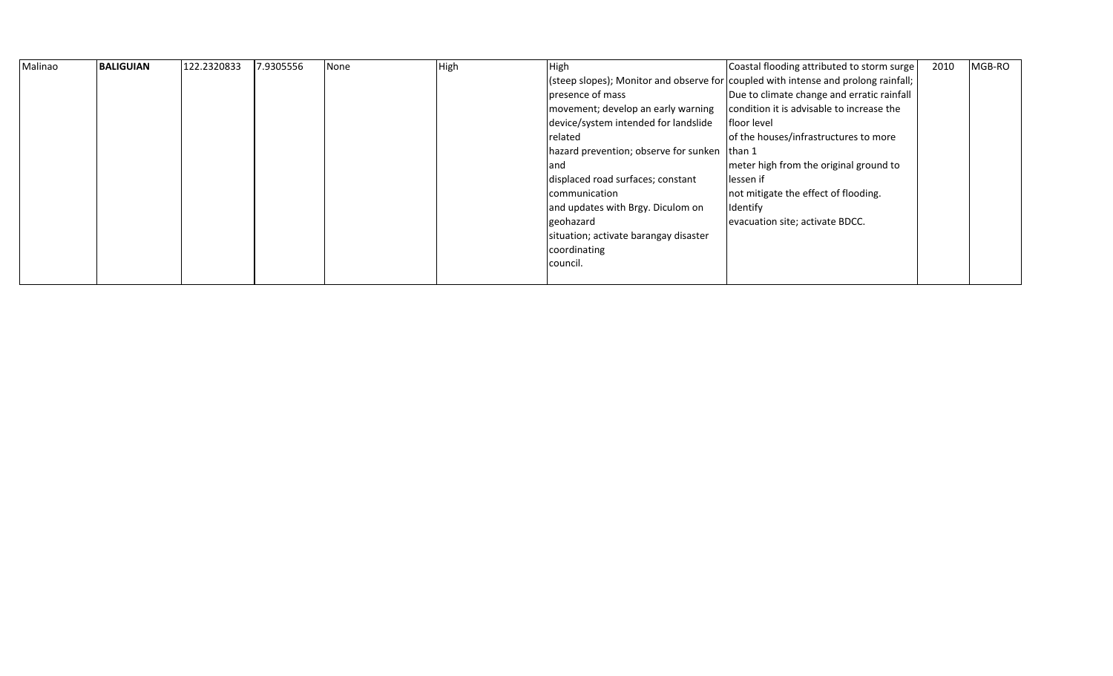| Malinao | <b>BALIGUIAN</b> | 122.2320833 | 7.9305556 | None | High | High                                           | Coastal flooding attributed to storm surge                                         | 2010 | MGB-RO |
|---------|------------------|-------------|-----------|------|------|------------------------------------------------|------------------------------------------------------------------------------------|------|--------|
|         |                  |             |           |      |      |                                                | (steep slopes); Monitor and observe for coupled with intense and prolong rainfall; |      |        |
|         |                  |             |           |      |      | presence of mass                               | Due to climate change and erratic rainfall                                         |      |        |
|         |                  |             |           |      |      | movement; develop an early warning             | condition it is advisable to increase the                                          |      |        |
|         |                  |             |           |      |      | device/system intended for landslide           | floor level                                                                        |      |        |
|         |                  |             |           |      |      | related                                        | of the houses/infrastructures to more                                              |      |        |
|         |                  |             |           |      |      | hazard prevention; observe for sunken   than 1 |                                                                                    |      |        |
|         |                  |             |           |      |      | and                                            | meter high from the original ground to                                             |      |        |
|         |                  |             |           |      |      | displaced road surfaces; constant              | lessen if                                                                          |      |        |
|         |                  |             |           |      |      | communication                                  | not mitigate the effect of flooding.                                               |      |        |
|         |                  |             |           |      |      | and updates with Brgy. Diculom on              | Identify                                                                           |      |        |
|         |                  |             |           |      |      | geohazard                                      | evacuation site; activate BDCC.                                                    |      |        |
|         |                  |             |           |      |      | situation; activate barangay disaster          |                                                                                    |      |        |
|         |                  |             |           |      |      | coordinating                                   |                                                                                    |      |        |
|         |                  |             |           |      |      | council.                                       |                                                                                    |      |        |
|         |                  |             |           |      |      |                                                |                                                                                    |      |        |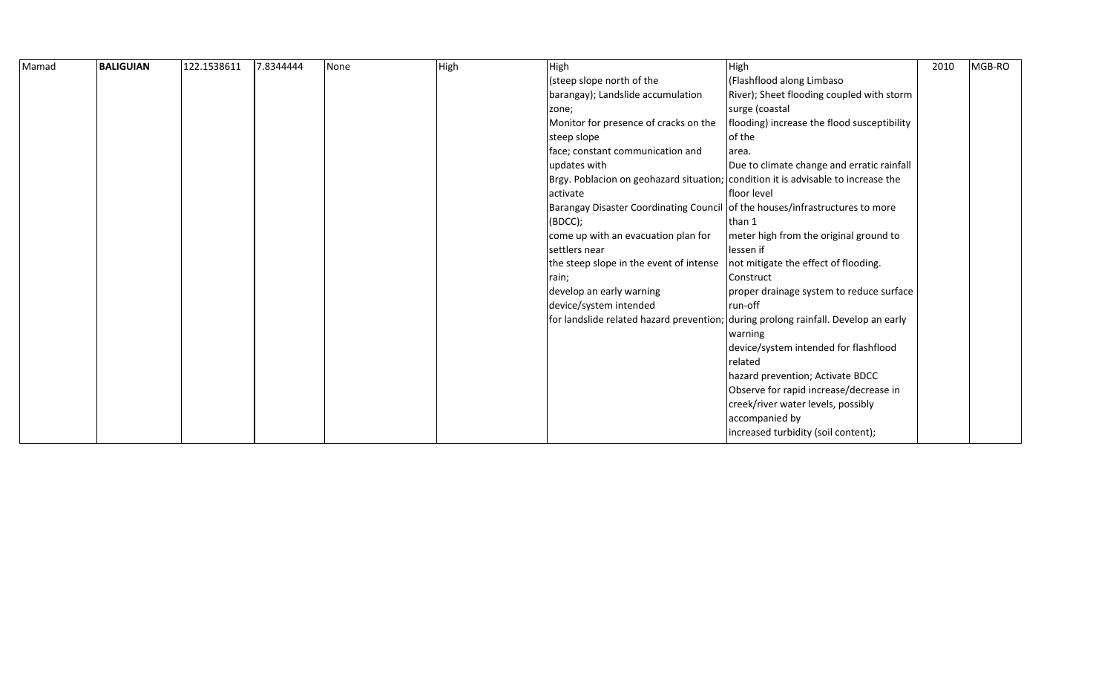| Mamad | <b>BALIGUIAN</b> | 122.1538611 | 7.8344444 | None | High | High                                                                              | High                                                                               | 2010 | MGB-RO |
|-------|------------------|-------------|-----------|------|------|-----------------------------------------------------------------------------------|------------------------------------------------------------------------------------|------|--------|
|       |                  |             |           |      |      | (steep slope north of the                                                         | (Flashflood along Limbaso                                                          |      |        |
|       |                  |             |           |      |      | barangay); Landslide accumulation                                                 | River); Sheet flooding coupled with storm                                          |      |        |
|       |                  |             |           |      |      | zone;                                                                             | surge (coastal                                                                     |      |        |
|       |                  |             |           |      |      | Monitor for presence of cracks on the                                             | flooding) increase the flood susceptibility                                        |      |        |
|       |                  |             |           |      |      | steep slope                                                                       | of the                                                                             |      |        |
|       |                  |             |           |      |      | face; constant communication and                                                  | area.                                                                              |      |        |
|       |                  |             |           |      |      | updates with                                                                      | Due to climate change and erratic rainfall                                         |      |        |
|       |                  |             |           |      |      | Brgy. Poblacion on geohazard situation; condition it is advisable to increase the |                                                                                    |      |        |
|       |                  |             |           |      |      | activate                                                                          | lfloor level                                                                       |      |        |
|       |                  |             |           |      |      | <b>Barangay Disaster Coordinating Council</b>                                     | of the houses/infrastructures to more                                              |      |        |
|       |                  |             |           |      |      | (BDCC);                                                                           | than 1                                                                             |      |        |
|       |                  |             |           |      |      | come up with an evacuation plan for                                               | meter high from the original ground to                                             |      |        |
|       |                  |             |           |      |      | settlers near                                                                     | lessen if                                                                          |      |        |
|       |                  |             |           |      |      | the steep slope in the event of intense                                           | not mitigate the effect of flooding.                                               |      |        |
|       |                  |             |           |      |      | rain;                                                                             | Construct                                                                          |      |        |
|       |                  |             |           |      |      | develop an early warning                                                          | proper drainage system to reduce surface                                           |      |        |
|       |                  |             |           |      |      | device/system intended                                                            | run-off                                                                            |      |        |
|       |                  |             |           |      |      |                                                                                   | for landslide related hazard prevention; during prolong rainfall. Develop an early |      |        |
|       |                  |             |           |      |      |                                                                                   | warning                                                                            |      |        |
|       |                  |             |           |      |      |                                                                                   | device/system intended for flashflood                                              |      |        |
|       |                  |             |           |      |      |                                                                                   | related                                                                            |      |        |
|       |                  |             |           |      |      |                                                                                   | hazard prevention; Activate BDCC                                                   |      |        |
|       |                  |             |           |      |      |                                                                                   | Observe for rapid increase/decrease in                                             |      |        |
|       |                  |             |           |      |      |                                                                                   | creek/river water levels, possibly                                                 |      |        |
|       |                  |             |           |      |      |                                                                                   | accompanied by                                                                     |      |        |
|       |                  |             |           |      |      |                                                                                   | increased turbidity (soil content);                                                |      |        |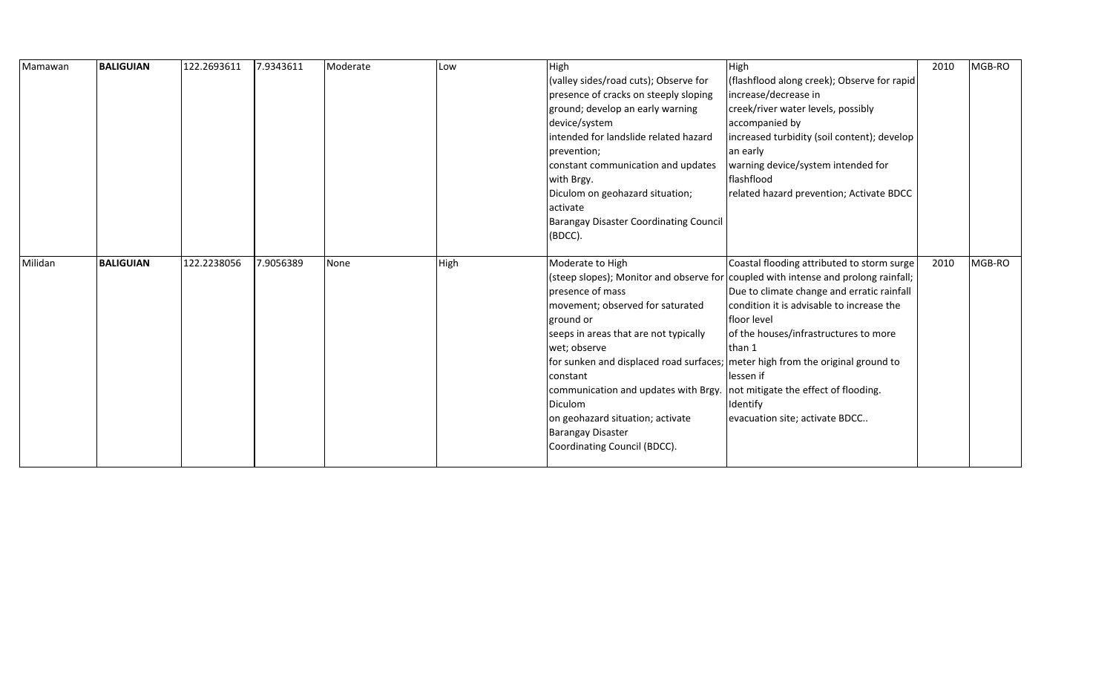| Mamawan | <b>BALIGUIAN</b> | 122.2693611 | 7.9343611 | Moderate | Low  | High                                                                           | High                                                                               | 2010 | MGB-RO |
|---------|------------------|-------------|-----------|----------|------|--------------------------------------------------------------------------------|------------------------------------------------------------------------------------|------|--------|
|         |                  |             |           |          |      | (valley sides/road cuts); Observe for                                          | (flashflood along creek); Observe for rapid                                        |      |        |
|         |                  |             |           |          |      | presence of cracks on steeply sloping                                          | increase/decrease in                                                               |      |        |
|         |                  |             |           |          |      | ground; develop an early warning                                               | creek/river water levels, possibly                                                 |      |        |
|         |                  |             |           |          |      | device/system                                                                  | accompanied by                                                                     |      |        |
|         |                  |             |           |          |      | intended for landslide related hazard                                          | increased turbidity (soil content); develop                                        |      |        |
|         |                  |             |           |          |      | prevention;                                                                    | an early                                                                           |      |        |
|         |                  |             |           |          |      | constant communication and updates                                             | warning device/system intended for                                                 |      |        |
|         |                  |             |           |          |      | with Brgy.                                                                     | flashflood                                                                         |      |        |
|         |                  |             |           |          |      | Diculom on geohazard situation;                                                | related hazard prevention; Activate BDCC                                           |      |        |
|         |                  |             |           |          |      | activate                                                                       |                                                                                    |      |        |
|         |                  |             |           |          |      | <b>Barangay Disaster Coordinating Council</b>                                  |                                                                                    |      |        |
|         |                  |             |           |          |      | (BDCC).                                                                        |                                                                                    |      |        |
|         |                  |             |           |          |      |                                                                                |                                                                                    |      |        |
| Milidan | <b>BALIGUIAN</b> | 122.2238056 | 7.9056389 | None     | High | Moderate to High                                                               | Coastal flooding attributed to storm surge                                         | 2010 | MGB-RO |
|         |                  |             |           |          |      |                                                                                | (steep slopes); Monitor and observe for coupled with intense and prolong rainfall; |      |        |
|         |                  |             |           |          |      | presence of mass                                                               | Due to climate change and erratic rainfall                                         |      |        |
|         |                  |             |           |          |      | movement; observed for saturated                                               | condition it is advisable to increase the                                          |      |        |
|         |                  |             |           |          |      | ground or                                                                      | floor level                                                                        |      |        |
|         |                  |             |           |          |      | seeps in areas that are not typically                                          | of the houses/infrastructures to more                                              |      |        |
|         |                  |             |           |          |      | wet; observe                                                                   | than 1                                                                             |      |        |
|         |                  |             |           |          |      | for sunken and displaced road surfaces; meter high from the original ground to |                                                                                    |      |        |
|         |                  |             |           |          |      | constant                                                                       | lessen if                                                                          |      |        |
|         |                  |             |           |          |      | communication and updates with Brgy.   not mitigate the effect of flooding.    |                                                                                    |      |        |
|         |                  |             |           |          |      | Diculom                                                                        | Identify                                                                           |      |        |
|         |                  |             |           |          |      | on geohazard situation; activate                                               | evacuation site; activate BDCC                                                     |      |        |
|         |                  |             |           |          |      | <b>Barangay Disaster</b>                                                       |                                                                                    |      |        |
|         |                  |             |           |          |      | Coordinating Council (BDCC).                                                   |                                                                                    |      |        |
|         |                  |             |           |          |      |                                                                                |                                                                                    |      |        |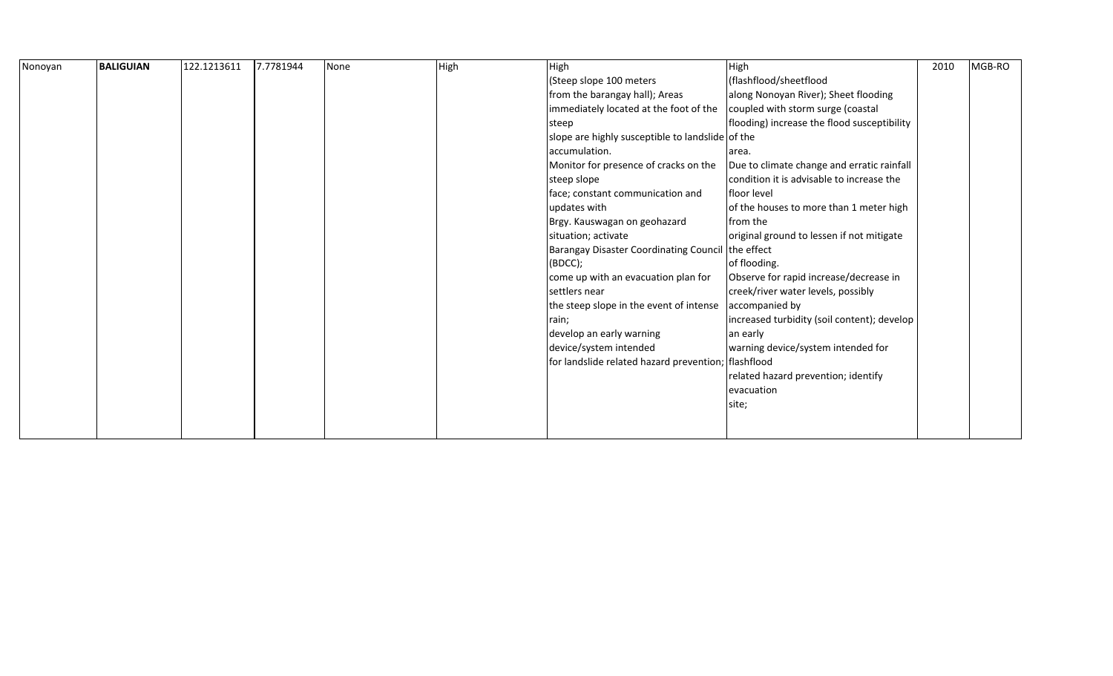| Nonoyan | BALIGUIAN | 122.1213611 | 7.7781944 | None | High | High                                                | High                                        | 2010 | MGB-RO |  |
|---------|-----------|-------------|-----------|------|------|-----------------------------------------------------|---------------------------------------------|------|--------|--|
|         |           |             |           |      |      | (Steep slope 100 meters                             | (flashflood/sheetflood                      |      |        |  |
|         |           |             |           |      |      | from the barangay hall); Areas                      | along Nonoyan River); Sheet flooding        |      |        |  |
|         |           |             |           |      |      | immediately located at the foot of the              | coupled with storm surge (coastal           |      |        |  |
|         |           |             |           |      |      | steep                                               | flooding) increase the flood susceptibility |      |        |  |
|         |           |             |           |      |      | slope are highly susceptible to landslide of the    |                                             |      |        |  |
|         |           |             |           |      |      | accumulation.                                       | area.                                       |      |        |  |
|         |           |             |           |      |      | Monitor for presence of cracks on the               | Due to climate change and erratic rainfall  |      |        |  |
|         |           |             |           |      |      | steep slope                                         | condition it is advisable to increase the   |      |        |  |
|         |           |             |           |      |      | face; constant communication and                    | <b>Ifloor level</b>                         |      |        |  |
|         |           |             |           |      |      | updates with                                        | of the houses to more than 1 meter high     |      |        |  |
|         |           |             |           |      |      | Brgy. Kauswagan on geohazard                        | from the                                    |      |        |  |
|         |           |             |           |      |      | situation; activate                                 | original ground to lessen if not mitigate   |      |        |  |
|         |           |             |           |      |      | Barangay Disaster Coordinating Council the effect   |                                             |      |        |  |
|         |           |             |           |      |      | (BOCC);                                             | of flooding.                                |      |        |  |
|         |           |             |           |      |      | come up with an evacuation plan for                 | Observe for rapid increase/decrease in      |      |        |  |
|         |           |             |           |      |      | settlers near                                       | creek/river water levels, possibly          |      |        |  |
|         |           |             |           |      |      | the steep slope in the event of intense             | accompanied by                              |      |        |  |
|         |           |             |           |      |      | rain;                                               | increased turbidity (soil content); develop |      |        |  |
|         |           |             |           |      |      | develop an early warning                            | an early                                    |      |        |  |
|         |           |             |           |      |      | device/system intended                              | warning device/system intended for          |      |        |  |
|         |           |             |           |      |      | for landslide related hazard prevention; flashflood |                                             |      |        |  |
|         |           |             |           |      |      |                                                     | related hazard prevention; identify         |      |        |  |
|         |           |             |           |      |      |                                                     | evacuation                                  |      |        |  |
|         |           |             |           |      |      |                                                     | site;                                       |      |        |  |
|         |           |             |           |      |      |                                                     |                                             |      |        |  |
|         |           |             |           |      |      |                                                     |                                             |      |        |  |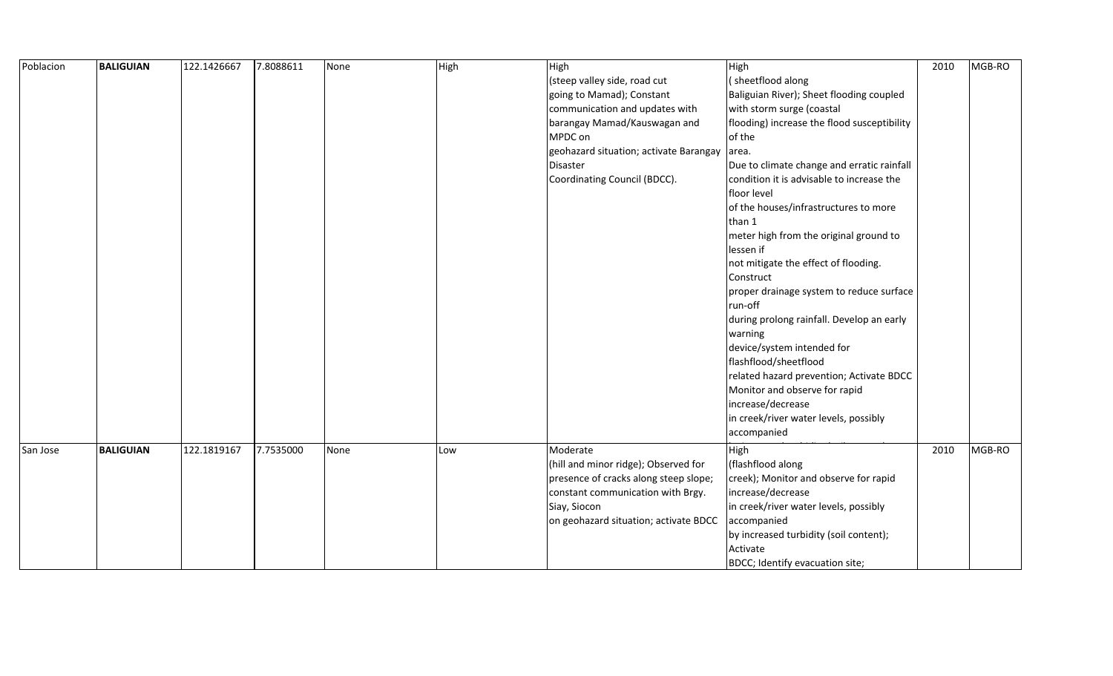| Poblacion | <b>BALIGUIAN</b> | 122.1426667 | 7.8088611 | None | High | High                                   | High                                        | 2010 | MGB-RO |
|-----------|------------------|-------------|-----------|------|------|----------------------------------------|---------------------------------------------|------|--------|
|           |                  |             |           |      |      | (steep valley side, road cut           | (sheetflood along                           |      |        |
|           |                  |             |           |      |      | going to Mamad); Constant              | Baliguian River); Sheet flooding coupled    |      |        |
|           |                  |             |           |      |      | communication and updates with         | with storm surge (coastal                   |      |        |
|           |                  |             |           |      |      | barangay Mamad/Kauswagan and           | flooding) increase the flood susceptibility |      |        |
|           |                  |             |           |      |      | MPDC on                                | of the                                      |      |        |
|           |                  |             |           |      |      | geohazard situation; activate Barangay | area.                                       |      |        |
|           |                  |             |           |      |      | Disaster                               | Due to climate change and erratic rainfall  |      |        |
|           |                  |             |           |      |      | Coordinating Council (BDCC).           | condition it is advisable to increase the   |      |        |
|           |                  |             |           |      |      |                                        | floor level                                 |      |        |
|           |                  |             |           |      |      |                                        | of the houses/infrastructures to more       |      |        |
|           |                  |             |           |      |      |                                        | than 1                                      |      |        |
|           |                  |             |           |      |      |                                        | meter high from the original ground to      |      |        |
|           |                  |             |           |      |      |                                        | lessen if                                   |      |        |
|           |                  |             |           |      |      |                                        | not mitigate the effect of flooding.        |      |        |
|           |                  |             |           |      |      |                                        | Construct                                   |      |        |
|           |                  |             |           |      |      |                                        | proper drainage system to reduce surface    |      |        |
|           |                  |             |           |      |      |                                        | run-off                                     |      |        |
|           |                  |             |           |      |      |                                        | during prolong rainfall. Develop an early   |      |        |
|           |                  |             |           |      |      |                                        | warning                                     |      |        |
|           |                  |             |           |      |      |                                        | device/system intended for                  |      |        |
|           |                  |             |           |      |      |                                        | flashflood/sheetflood                       |      |        |
|           |                  |             |           |      |      |                                        | related hazard prevention; Activate BDCC    |      |        |
|           |                  |             |           |      |      |                                        | Monitor and observe for rapid               |      |        |
|           |                  |             |           |      |      |                                        | increase/decrease                           |      |        |
|           |                  |             |           |      |      |                                        | in creek/river water levels, possibly       |      |        |
|           |                  |             |           |      |      |                                        | accompanied                                 |      |        |
| San Jose  | <b>BALIGUIAN</b> | 122.1819167 | 7.7535000 | None | Low  | Moderate                               | High                                        | 2010 | MGB-RO |
|           |                  |             |           |      |      | (hill and minor ridge); Observed for   | (flashflood along                           |      |        |
|           |                  |             |           |      |      | presence of cracks along steep slope;  | creek); Monitor and observe for rapid       |      |        |
|           |                  |             |           |      |      | constant communication with Brgy.      | increase/decrease                           |      |        |
|           |                  |             |           |      |      | Siay, Siocon                           | in creek/river water levels, possibly       |      |        |
|           |                  |             |           |      |      | on geohazard situation; activate BDCC  | accompanied                                 |      |        |
|           |                  |             |           |      |      |                                        | by increased turbidity (soil content);      |      |        |
|           |                  |             |           |      |      |                                        | Activate                                    |      |        |
|           |                  |             |           |      |      |                                        | BDCC; Identify evacuation site;             |      |        |